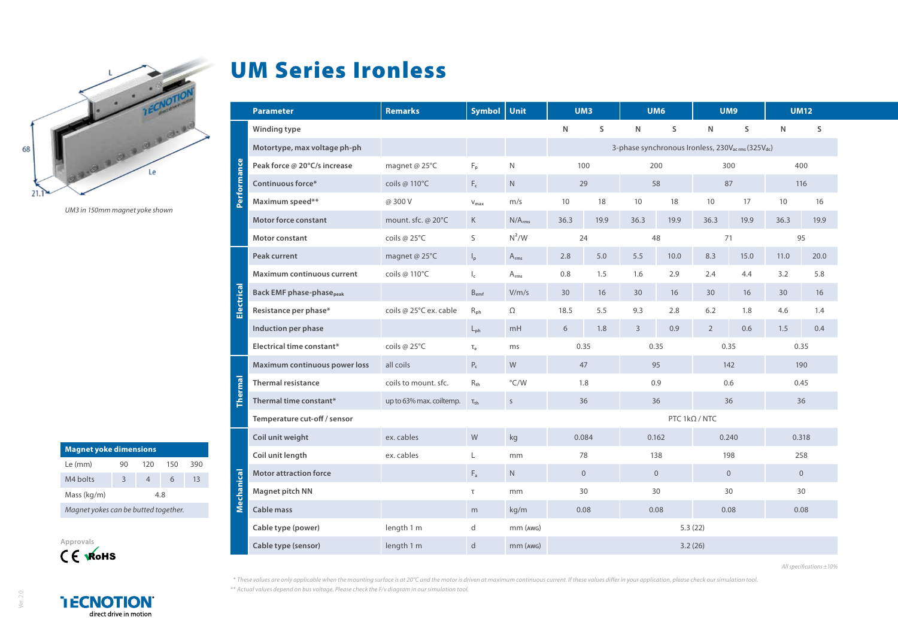

*UM3 in 150mm magnet yoke shown*

| <b>Magnet yoke dimensions</b>        |     |     |     |     |  |  |  |  |  |  |
|--------------------------------------|-----|-----|-----|-----|--|--|--|--|--|--|
| Le (mm)                              | 90  | 120 | 150 | 390 |  |  |  |  |  |  |
| M4 bolts                             | 3   |     | 6   | 13  |  |  |  |  |  |  |
| Mass (kg/m)                          | 4.8 |     |     |     |  |  |  |  |  |  |
| Magnet yokes can be butted together. |     |     |     |     |  |  |  |  |  |  |



## UM Series Ironless

|               | <b>Parameter</b>                            | <b>Remarks</b>           | Symbol                    | Unit               | UM3                                                                       |          | UM6      |      | UM9            |      | <b>UM12</b>  |      |  |
|---------------|---------------------------------------------|--------------------------|---------------------------|--------------------|---------------------------------------------------------------------------|----------|----------|------|----------------|------|--------------|------|--|
|               | Winding type                                |                          |                           |                    | N                                                                         | S        | N        | S    | N              | S    | N            | S    |  |
| Performance   | Motortype, max voltage ph-ph                |                          |                           |                    | 3-phase synchronous Ironless, 230V <sub>acrms</sub> (325V <sub>dc</sub> ) |          |          |      |                |      |              |      |  |
|               | Peak force @ 20°C/s increase                | magnet @ 25°C            | $F_{p}$                   | $\mathsf{N}$       | 100                                                                       |          |          | 200  |                | 300  |              | 400  |  |
|               | Continuous force*                           | coils @ 110°C            | $F_c$                     | $\mathsf{N}$       | 29                                                                        |          | 58       |      | 87             |      | 116          |      |  |
|               | Maximum speed**                             | @ 300 V                  | $V_{\text{max}}$          | m/s                | 10                                                                        | 18       | 10       | 18   | 10             | 17   | 10           | 16   |  |
|               | <b>Motor force constant</b>                 | mount. sfc. @ 20°C       | K                         | N/A <sub>rms</sub> | 36.3                                                                      | 19.9     | 36.3     | 19.9 | 36.3           | 19.9 | 36.3         | 19.9 |  |
|               | Motor constant                              | coils @ 25°C             | S                         | $N^2/W$            |                                                                           | 24<br>48 |          |      | 71             |      | 95           |      |  |
|               | <b>Peak current</b>                         | magnet @ 25°C            | $\mathsf{I}_{\mathsf{p}}$ | $A_{rms}$          | 2.8                                                                       | 5.0      | 5.5      | 10.0 | 8.3            | 15.0 | 11.0         | 20.0 |  |
|               | <b>Maximum continuous current</b>           | coils @ 110°C            | $\mathsf{I}_\mathsf{c}$   | $A_{rms}$          | 0.8                                                                       | 1.5      | 1.6      | 2.9  | 2.4            | 4.4  | 3.2          | 5.8  |  |
| ectrical<br>긂 | <b>Back EMF phase-phase</b> <sub>peak</sub> |                          | $B_{emf}$                 | V/m/s              | 30                                                                        | 16       | 30       | 16   | 30             | 16   | 30           | 16   |  |
|               | Resistance per phase*                       | coils @ 25°C ex. cable   | $R_{ph}$                  | $\Omega$           | 18.5                                                                      | 5.5      | 9.3      | 2.8  | 6.2            | 1.8  | 4.6          | 1.4  |  |
|               | Induction per phase                         |                          | $L_{ph}$                  | mH                 | 6                                                                         | 1.8      | 3        | 0.9  | $\overline{2}$ | 0.6  | 1.5          | 0.4  |  |
|               | Electrical time constant*                   | coils @ 25°C             | $\tau_{\rm e}$            | ms                 | 0.35                                                                      |          | 0.35     |      | 0.35           |      | 0.35         |      |  |
| ermal         | Maximum continuous power loss               | all coils                | $P_c$                     | W                  | 47                                                                        |          | 95       |      | 142            |      | 190          |      |  |
|               | <b>Thermal resistance</b>                   | coils to mount. sfc.     | $R_{th}$                  | $\degree$ C/W      | 1.8                                                                       |          | 0.9      |      | 0.6            |      | 0.45         |      |  |
|               | Thermal time constant*                      | up to 63% max. coiltemp. | $\tau_{\text{th}}$        | $\mathsf{S}$       | 36                                                                        |          | 36       |      | 36             |      | 36           |      |  |
|               | Temperature cut-off / sensor                |                          |                           |                    | PTC $1k\Omega / NTC$                                                      |          |          |      |                |      |              |      |  |
| Mechanical    | Coil unit weight                            | ex. cables               | W                         | kg                 | 0.084                                                                     |          | 0.162    |      | 0.240          |      | 0.318        |      |  |
|               | Coil unit length                            | ex. cables               | L                         | mm                 | 78                                                                        |          | 138      |      | 198            |      | 258          |      |  |
|               | <b>Motor attraction force</b>               |                          | $\mathsf{F}_{\mathsf{a}}$ | ${\sf N}$          | $\overline{0}$                                                            |          | $\Omega$ |      | $\mathbf{0}$   |      | $\mathbf{0}$ |      |  |
|               | Magnet pitch NN                             |                          | τ                         | mm                 | 30                                                                        |          |          | 30   | 30             |      | 30           |      |  |
|               | Cable mass                                  |                          | m                         | kg/m               | 0.08                                                                      |          | 0.08     |      | 0.08           |      | 0.08         |      |  |
|               | Cable type (power)                          | length 1 m               | d                         | mm (AWG)           | 5.3(22)                                                                   |          |          |      |                |      |              |      |  |
|               | Cable type (sensor)                         | length 1 m               | d                         | mm (AWG)           | 3.2(26)                                                                   |          |          |      |                |      |              |      |  |

*All specifications ±10%*

*\* These values are only applicable when the mounting surface is at 20°C and the motor is driven at maximum continuous current. If these values differ in your application, please check our simulation tool. \*\* Actual values depend on bus voltage. Please check the F/v diagram in our simulation tool.*